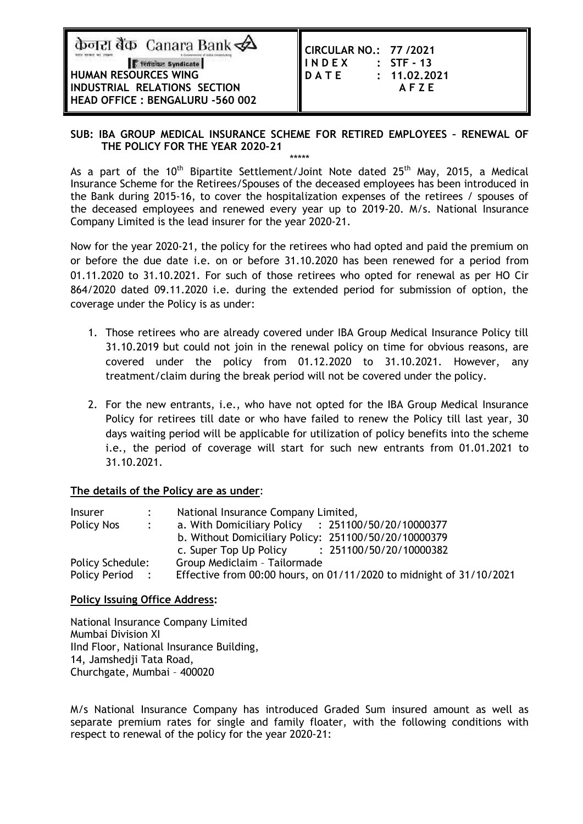केनरा बैंक Canara Bank $\overline{\mathbf{\mathscr{L}}}$ 

F Termine Syndicate **HUMAN RESOURCES WING INDUSTRIAL RELATIONS SECTION HEAD OFFICE : BENGALURU -560 002** 

| CIRCULAR NO.: 77 / 2021 |              |
|-------------------------|--------------|
| <b>INDEX</b>            | : STF - 13   |
| DATE                    | : 11.02,2021 |
|                         | AFZE         |
|                         |              |

#### **SUB: IBA GROUP MEDICAL INSURANCE SCHEME FOR RETIRED EMPLOYEES – RENEWAL OF THE POLICY FOR THE YEAR 2020-21** \*\*\*\*\*

As a part of the  $10^{th}$  Bipartite Settlement/Joint Note dated  $25^{th}$  May, 2015, a Medical Insurance Scheme for the Retirees/Spouses of the deceased employees has been introduced in the Bank during 2015-16, to cover the hospitalization expenses of the retirees / spouses of the deceased employees and renewed every year up to 2019-20. M/s. National Insurance Company Limited is the lead insurer for the year 2020-21.

Now for the year 2020-21, the policy for the retirees who had opted and paid the premium on or before the due date i.e. on or before 31.10.2020 has been renewed for a period from 01.11.2020 to 31.10.2021. For such of those retirees who opted for renewal as per HO Cir 864/2020 dated 09.11.2020 i.e. during the extended period for submission of option, the coverage under the Policy is as under:

- 1. Those retirees who are already covered under IBA Group Medical Insurance Policy till 31.10.2019 but could not join in the renewal policy on time for obvious reasons, are covered under the policy from 01.12.2020 to 31.10.2021. However, any treatment/claim during the break period will not be covered under the policy.
- 2. For the new entrants, i.e., who have not opted for the IBA Group Medical Insurance Policy for retirees till date or who have failed to renew the Policy till last year, 30 days waiting period will be applicable for utilization of policy benefits into the scheme i.e., the period of coverage will start for such new entrants from 01.01.2021 to 31.10.2021.

### **The details of the Policy are as under**:

| <b>Insurer</b>   |                             | National Insurance Company Limited,                                 |  |  |  |  |
|------------------|-----------------------------|---------------------------------------------------------------------|--|--|--|--|
| Policy Nos       | $\mathcal{L} = \mathcal{L}$ | a. With Domiciliary Policy : 251100/50/20/10000377                  |  |  |  |  |
|                  |                             | b. Without Domiciliary Policy: 251100/50/20/10000379                |  |  |  |  |
|                  |                             | c. Super Top Up Policy : 251100/50/20/10000382                      |  |  |  |  |
| Policy Schedule: |                             | Group Mediclaim - Tailormade                                        |  |  |  |  |
| Policy Period:   |                             | Effective from 00:00 hours, on 01/11/2020 to midnight of 31/10/2021 |  |  |  |  |

### **Policy Issuing Office Address:**

National Insurance Company Limited Mumbai Division XI IInd Floor, National Insurance Building, 14, Jamshedji Tata Road, Churchgate, Mumbai – 400020

M/s National Insurance Company has introduced Graded Sum insured amount as well as separate premium rates for single and family floater, with the following conditions with respect to renewal of the policy for the year 2020-21: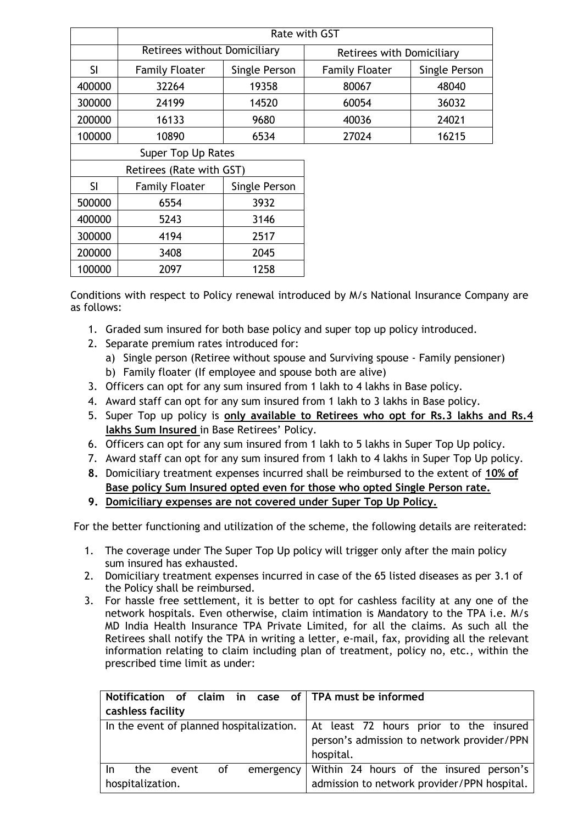|                    | Rate with GST                          |               |                           |               |  |  |
|--------------------|----------------------------------------|---------------|---------------------------|---------------|--|--|
|                    | Retirees without Domiciliary           |               | Retirees with Domiciliary |               |  |  |
| <b>SI</b>          | <b>Family Floater</b>                  | Single Person | <b>Family Floater</b>     | Single Person |  |  |
| 400000             | 19358<br>32264                         |               | 80067                     | 48040         |  |  |
| 300000             | 24199<br>14520                         |               | 60054                     | 36032         |  |  |
| 200000             | 9680<br>16133                          |               | 40036                     | 24021         |  |  |
| 100000             | 10890<br>6534                          |               | 27024                     | 16215         |  |  |
| Super Top Up Rates |                                        |               |                           |               |  |  |
|                    | Retirees (Rate with GST)               |               |                           |               |  |  |
| <b>SI</b>          | <b>Family Floater</b><br>Single Person |               |                           |               |  |  |
| 500000             | 6554                                   |               |                           |               |  |  |

Conditions with respect to Policy renewal introduced by M/s National Insurance Company are as follows:

- 1. Graded sum insured for both base policy and super top up policy introduced.
- 2. Separate premium rates introduced for:

 5243 3146 4194 2517 3408 2045 2097 1258

- a) Single person (Retiree without spouse and Surviving spouse Family pensioner)
- b) Family floater (If employee and spouse both are alive)
- 3. Officers can opt for any sum insured from 1 lakh to 4 lakhs in Base policy.
- 4. Award staff can opt for any sum insured from 1 lakh to 3 lakhs in Base policy.
- 5. Super Top up policy is **only available to Retirees who opt for Rs.3 lakhs and Rs.4 lakhs Sum Insured** in Base Retirees' Policy.
- 6. Officers can opt for any sum insured from 1 lakh to 5 lakhs in Super Top Up policy.
- 7. Award staff can opt for any sum insured from 1 lakh to 4 lakhs in Super Top Up policy.
- **8.** Domiciliary treatment expenses incurred shall be reimbursed to the extent of **10% of Base policy Sum Insured opted even for those who opted Single Person rate.**
- **9. Domiciliary expenses are not covered under Super Top Up Policy.**

For the better functioning and utilization of the scheme, the following details are reiterated:

- 1. The coverage under The Super Top Up policy will trigger only after the main policy sum insured has exhausted.
- 2. Domiciliary treatment expenses incurred in case of the 65 listed diseases as per 3.1 of the Policy shall be reimbursed.
- 3. For hassle free settlement, it is better to opt for cashless facility at any one of the network hospitals. Even otherwise, claim intimation is Mandatory to the TPA i.e. M/s MD India Health Insurance TPA Private Limited, for all the claims. As such all the Retirees shall notify the TPA in writing a letter, e-mail, fax, providing all the relevant information relating to claim including plan of treatment, policy no, etc., within the prescribed time limit as under:

|                   |                                                                                   |       |    |  |                                            |  | Notification of claim in case of TPA must be informed |
|-------------------|-----------------------------------------------------------------------------------|-------|----|--|--------------------------------------------|--|-------------------------------------------------------|
| cashless facility |                                                                                   |       |    |  |                                            |  |                                                       |
|                   | In the event of planned hospitalization.   At least 72 hours prior to the insured |       |    |  |                                            |  |                                                       |
|                   |                                                                                   |       |    |  | person's admission to network provider/PPN |  |                                                       |
|                   |                                                                                   |       |    |  |                                            |  | hospital.                                             |
| In.               | the                                                                               | event | of |  |                                            |  | emergency   Within 24 hours of the insured person's   |
| hospitalization.  |                                                                                   |       |    |  |                                            |  | admission to network provider/PPN hospital.           |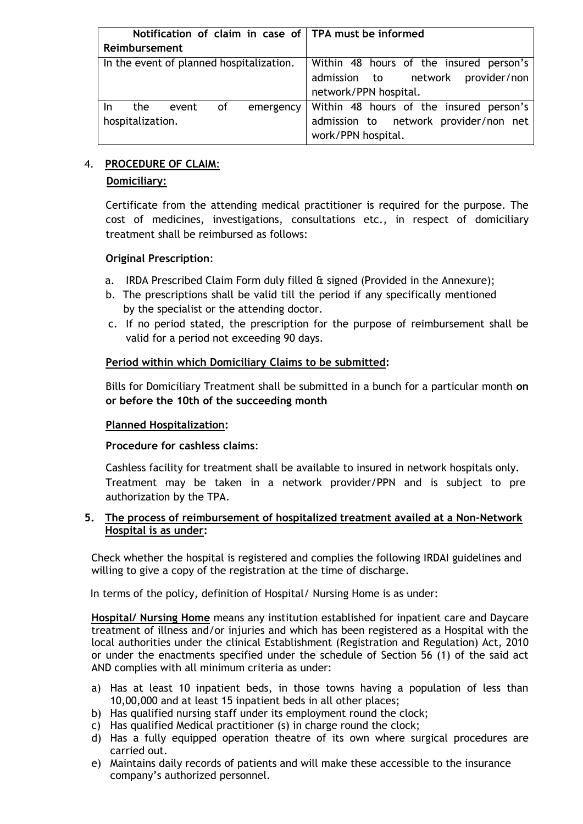| Notification of claim in case of TPA must be informed |                                                             |  |  |
|-------------------------------------------------------|-------------------------------------------------------------|--|--|
| Reimbursement                                         |                                                             |  |  |
| In the event of planned hospitalization.              | Within 48 hours of the insured person's                     |  |  |
|                                                       | admission to network provider/non                           |  |  |
|                                                       | network/PPN hospital.                                       |  |  |
| the<br>of<br>event<br>In.                             | emergency   Within 48 hours of the insured person's         |  |  |
| hospitalization.                                      | admission to network provider/non net<br>work/PPN hospital. |  |  |

# 4. **PROCEDURE OF CLAIM**:

# **Domiciliary:**

Certificate from the attending medical practitioner is required for the purpose. The cost of medicines, investigations, consultations etc., in respect of domiciliary treatment shall be reimbursed as follows:

# **Original Prescription**:

- a. IRDA Prescribed Claim Form duly filled & signed (Provided in the Annexure);
- b. The prescriptions shall be valid till the period if any specifically mentioned by the specialist or the attending doctor.
- c. If no period stated, the prescription for the purpose of reimbursement shall be valid for a period not exceeding 90 days.

# **Period within which Domiciliary Claims to be submitted:**

Bills for Domiciliary Treatment shall be submitted in a bunch for a particular month **on or before the 10th of the succeeding month**

### **Planned Hospitalization:**

### **Procedure for cashless claims**:

Cashless facility for treatment shall be available to insured in network hospitals only. Treatment may be taken in a network provider/PPN and is subject to pre authorization by the TPA.

# **5. The process of reimbursement of hospitalized treatment availed at a Non-Network Hospital is as under:**

Check whether the hospital is registered and complies the following IRDAI guidelines and willing to give a copy of the registration at the time of discharge.

In terms of the policy, definition of Hospital/ Nursing Home is as under:

**Hospital/ Nursing Home** means any institution established for inpatient care and Daycare treatment of illness and/or injuries and which has been registered as a Hospital with the local authorities under the clinical Establishment (Registration and Regulation) Act, 2010 or under the enactments specified under the schedule of Section 56 (1) of the said act AND complies with all minimum criteria as under:

- a) Has at least 10 inpatient beds, in those towns having a population of less than 10,00,000 and at least 15 inpatient beds in all other places;
- b) Has qualified nursing staff under its employment round the clock;
- c) Has qualified Medical practitioner (s) in charge round the clock;
- d) Has a fully equipped operation theatre of its own where surgical procedures are carried out.
- e) Maintains daily records of patients and will make these accessible to the insurance company's authorized personnel.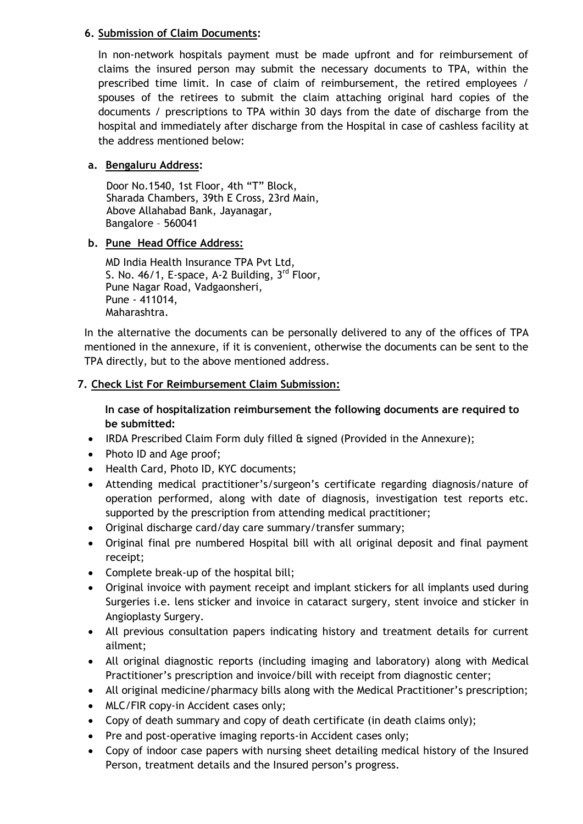# **6. Submission of Claim Documents:**

In non-network hospitals payment must be made upfront and for reimbursement of claims the insured person may submit the necessary documents to TPA, within the prescribed time limit. In case of claim of reimbursement, the retired employees / spouses of the retirees to submit the claim attaching original hard copies of the documents / prescriptions to TPA within 30 days from the date of discharge from the hospital and immediately after discharge from the Hospital in case of cashless facility at the address mentioned below:

# **a. Bengaluru Address:**

 Door No.1540, 1st Floor, 4th "T" Block, Sharada Chambers, 39th E Cross, 23rd Main, Above Allahabad Bank, Jayanagar, Bangalore – 560041

# **b. Pune Head Office Address:**

MD India Health Insurance TPA Pvt Ltd, S. No.  $46/1$ , E-space, A-2 Building,  $3<sup>rd</sup>$  Floor, Pune Nagar Road, Vadgaonsheri, Pune - 411014, Maharashtra.

In the alternative the documents can be personally delivered to any of the offices of TPA mentioned in the annexure, if it is convenient, otherwise the documents can be sent to the TPA directly, but to the above mentioned address.

# **7. Check List For Reimbursement Claim Submission:**

**In case of hospitalization reimbursement the following documents are required to be submitted:**

- IRDA Prescribed Claim Form duly filled & signed (Provided in the Annexure);
- Photo ID and Age proof;
- Health Card, Photo ID, KYC documents;
- Attending medical practitioner's/surgeon's certificate regarding diagnosis/nature of operation performed, along with date of diagnosis, investigation test reports etc. supported by the prescription from attending medical practitioner;
- Original discharge card/day care summary/transfer summary;
- Original final pre numbered Hospital bill with all original deposit and final payment receipt;
- Complete break-up of the hospital bill;
- Original invoice with payment receipt and implant stickers for all implants used during Surgeries i.e. lens sticker and invoice in cataract surgery, stent invoice and sticker in Angioplasty Surgery.
- All previous consultation papers indicating history and treatment details for current ailment;
- All original diagnostic reports (including imaging and laboratory) along with Medical Practitioner's prescription and invoice/bill with receipt from diagnostic center;
- All original medicine/pharmacy bills along with the Medical Practitioner's prescription;
- MLC/FIR copy-in Accident cases only;
- Copy of death summary and copy of death certificate (in death claims only);
- Pre and post-operative imaging reports-in Accident cases only;
- Copy of indoor case papers with nursing sheet detailing medical history of the Insured Person, treatment details and the Insured person's progress.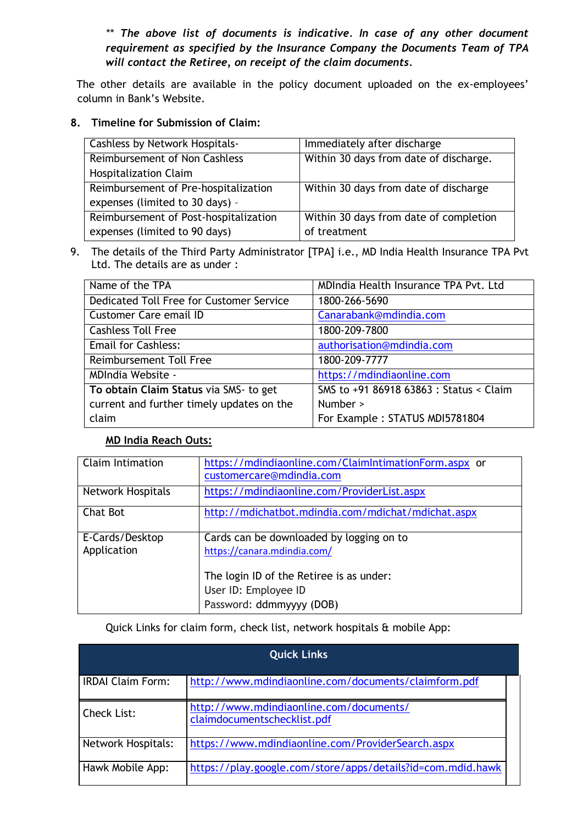*\*\* The above list of documents is indicative. In case of any other document requirement as specified by the Insurance Company the Documents Team of TPA will contact the Retiree, on receipt of the claim documents.* 

 The other details are available in the policy document uploaded on the ex-employees' column in Bank's Website.

# **8. Timeline for Submission of Claim:**

| <b>Cashless by Network Hospitals-</b> | Immediately after discharge            |
|---------------------------------------|----------------------------------------|
| Reimbursement of Non Cashless         | Within 30 days from date of discharge. |
| <b>Hospitalization Claim</b>          |                                        |
| Reimbursement of Pre-hospitalization  | Within 30 days from date of discharge  |
| expenses (limited to 30 days) -       |                                        |
| Reimbursement of Post-hospitalization | Within 30 days from date of completion |
| expenses (limited to 90 days)         | of treatment                           |

9. The details of the Third Party Administrator [TPA] i.e., MD India Health Insurance TPA Pvt Ltd. The details are as under :

| Name of the TPA                           | MDIndia Health Insurance TPA Pvt. Ltd   |
|-------------------------------------------|-----------------------------------------|
| Dedicated Toll Free for Customer Service  | 1800-266-5690                           |
| <b>Customer Care email ID</b>             | Canarabank@mdindia.com                  |
| <b>Cashless Toll Free</b>                 | 1800-209-7800                           |
| <b>Email for Cashless:</b>                | authorisation@mdindia.com               |
| Reimbursement Toll Free                   | 1800-209-7777                           |
| <b>MDIndia Website -</b>                  | https://mdindiaonline.com               |
| To obtain Claim Status via SMS- to get    | SMS to +91 86918 63863 : Status < Claim |
| current and further timely updates on the | Number >                                |
| claim                                     | For Example: STATUS MDI5781804          |

# **MD India Reach Outs:**

| Claim Intimation         | https://mdindiaonline.com/ClaimIntimationForm.aspx or<br>customercare@mdindia.com |
|--------------------------|-----------------------------------------------------------------------------------|
| <b>Network Hospitals</b> | https://mdindiaonline.com/ProviderList.aspx                                       |
| Chat Bot                 | http://mdichatbot.mdindia.com/mdichat/mdichat.aspx                                |
| E-Cards/Desktop          | Cards can be downloaded by logging on to                                          |
| Application              | https://canara.mdindia.com/                                                       |
|                          | The login ID of the Retiree is as under:                                          |
|                          | User ID: Employee ID                                                              |
|                          | Password: ddmmyyyy (DOB)                                                          |

#### Quick Links for claim form, check list, network hospitals & mobile App:

| <b>Quick Links</b>        |                                                                        |  |  |  |
|---------------------------|------------------------------------------------------------------------|--|--|--|
| <b>IRDAI Claim Form:</b>  | http://www.mdindiaonline.com/documents/claimform.pdf                   |  |  |  |
| <b>Check List:</b>        | http://www.mdindiaonline.com/documents/<br>claimdocumentschecklist.pdf |  |  |  |
| <b>Network Hospitals:</b> | https://www.mdindiaonline.com/ProviderSearch.aspx                      |  |  |  |
| Hawk Mobile App:          | https://play.google.com/store/apps/details?id=com.mdid.hawk            |  |  |  |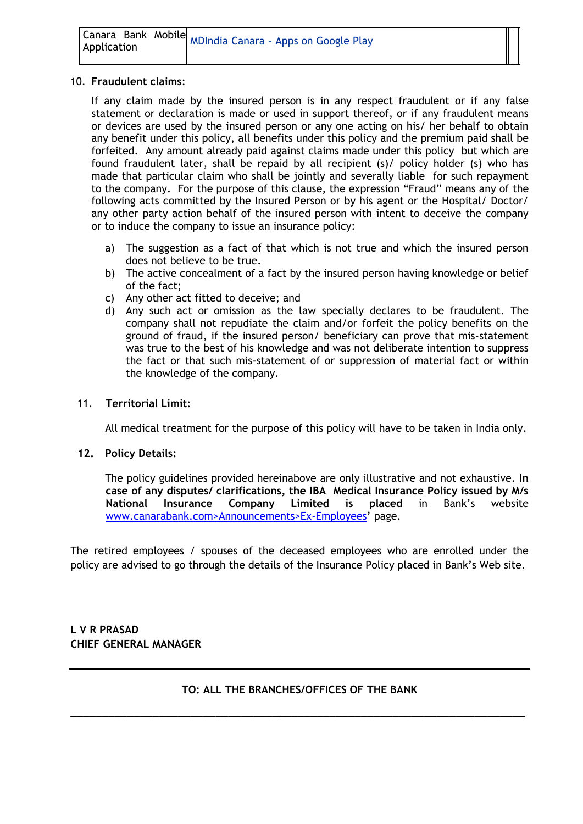|             | Lanara Bank Mobile MDIndia Canara - Apps on Google Play |
|-------------|---------------------------------------------------------|
| Application |                                                         |

#### 10. **Fraudulent claims**:

If any claim made by the insured person is in any respect fraudulent or if any false statement or declaration is made or used in support thereof, or if any fraudulent means or devices are used by the insured person or any one acting on his/ her behalf to obtain any benefit under this policy, all benefits under this policy and the premium paid shall be forfeited. Any amount already paid against claims made under this policy but which are found fraudulent later, shall be repaid by all recipient (s)/ policy holder (s) who has made that particular claim who shall be jointly and severally liable for such repayment to the company. For the purpose of this clause, the expression "Fraud" means any of the following acts committed by the Insured Person or by his agent or the Hospital/ Doctor/ any other party action behalf of the insured person with intent to deceive the company or to induce the company to issue an insurance policy:

- a) The suggestion as a fact of that which is not true and which the insured person does not believe to be true.
- b) The active concealment of a fact by the insured person having knowledge or belief of the fact;
- c) Any other act fitted to deceive; and
- d) Any such act or omission as the law specially declares to be fraudulent. The company shall not repudiate the claim and/or forfeit the policy benefits on the ground of fraud, if the insured person/ beneficiary can prove that mis-statement was true to the best of his knowledge and was not deliberate intention to suppress the fact or that such mis-statement of or suppression of material fact or within the knowledge of the company.

#### 11. **Territorial Limit**:

All medical treatment for the purpose of this policy will have to be taken in India only.

#### **12. Policy Details:**

The policy guidelines provided hereinabove are only illustrative and not exhaustive. **In case of any disputes/ clarifications, the IBA Medical Insurance Policy issued by M/s National Insurance Company Limited is placed** in Bank's website www.canarabank.com>Announcements>Ex-Employees' page.

The retired employees / spouses of the deceased employees who are enrolled under the policy are advised to go through the details of the Insurance Policy placed in Bank's Web site.

**L V R PRASAD CHIEF GENERAL MANAGER**

### **TO: ALL THE BRANCHES/OFFICES OF THE BANK**

**\_\_\_\_\_\_\_\_\_\_\_\_\_\_\_\_\_\_\_\_\_\_\_\_\_\_\_\_\_\_\_\_\_\_\_\_\_\_\_\_\_\_\_\_\_\_\_\_\_\_\_\_\_\_\_\_\_\_\_\_\_\_\_\_\_\_\_\_\_\_\_\_**